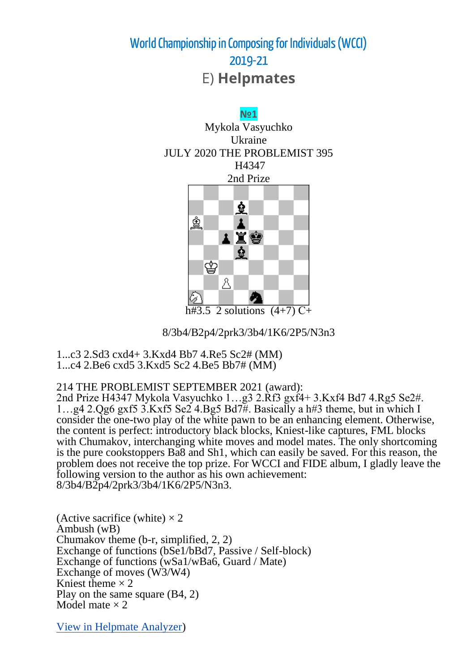

8/3b4/B2p4/2prk3/3b4/1K6/2P5/N3n3

1...c3 2.Sd3 cxd4+ 3.Kxd4 Bb7 4.Re5 Sc2# (MM) 1...c4 2.Be6 cxd5 3.Kxd5 Sc2 4.Be5 Bb7# (MM)

214 THE PROBLEMIST SEPTEMBER 2021 (award):

2nd Prize H4347 Mykola Vasyuchko 1…g3 2.Rf3 gxf4+ 3.Kxf4 Bd7 4.Rg5 Se2#. 1…g4 2.Qg6 gxf5 3.Kxf5 Se2 4.Bg5 Bd7#. Basically a h#3 theme, but in which I consider the one-two play of the white pawn to be an enhancing element. Otherwise, the content is perfect: introductory black blocks, Kniest-like captures, FML blocks with Chumakov, interchanging white moves and model mates. The only shortcoming is the pure cookstoppers Ba8 and Sh1, which can easily be saved. For this reason, the problem does not receive the top prize. For WCCI and FIDE album, I gladly leave the following version to the author as his own achievement: 8/3b4/B2p4/2prk3/3b4/1K6/2P5/N3n3.

(Active sacrifice (white)  $\times$  2 Ambush (wB) Chumakov theme (b-r, simplified, 2, 2) Exchange of functions (bSe1/bBd7, Passive / Self-block) Exchange of functions (wSa1/wBa6, Guard / Mate) Exchange of moves (W3/W4) Kniest theme  $\times$  2 Play on the same square (B4, 2) Model mate  $\times$  2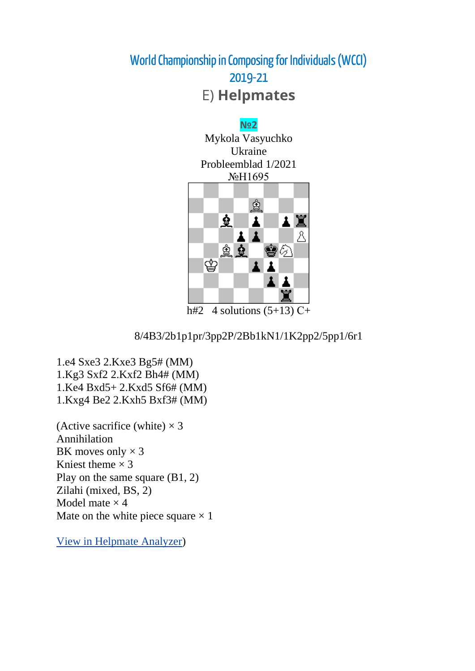#### **№2**

Mykola Vasyuchko Ukraine Probleemblad 1/2021 No<sub>b</sub>H<sub>1695</sub>



h#2 4 solutions  $(5+13)$  C+

#### 8/4B3/2b1p1pr/3pp2P/2Bb1kN1/1K2pp2/5pp1/6r1

1.e4 Sxe3 2.Kxe3 Bg5# (MM) 1.Kg3 Sxf2 2.Kxf2 Bh4# (MM) 1.Ke4 Bxd5+ 2.Kxd5 Sf6# (MM) 1.Kxg4 Be2 2.Kxh5 Bxf3# (MM)

(Active sacrifice (white)  $\times$ Annihilation BK moves only  $\times$ Kniest theme  $\times$ Play on the same square (B1, 2) Zilahi (mixed, BS, 2) Model mate  $\times$ Mate on the white piece square  $\times$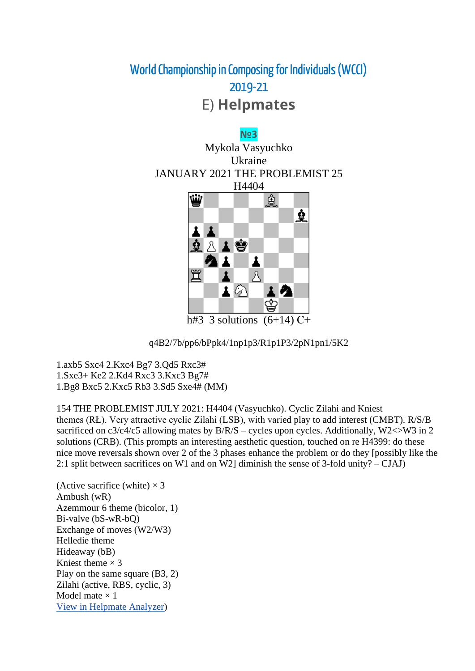

q4B2/7b/pp6/bPpk4/1np1p3/R1p1P3/2pN1pn1/5K2

1.axb5 Sxc4 2.Kxc4 Bg7 3.Qd5 Rxc3# 1.Sxe3+ Ke2 2.Kd4 Rxc3 3.Kxc3 Bg7# 1.Bg8 Bxc5 2.Kxc5 Rb3 3.Sd5 Sxe4# (MM)

154 THE PROBLEMIST JULY 2021: H4404 (Vasyuchko). Cyclic Zilahi and Kniest themes (RŁ). Very attractive cyclic Zilahi (LSB), with varied play to add interest (CMBT). R/S/B sacrificed on  $c3/c4/c5$  allowing mates by  $B/R/S$  – cycles upon cycles. Additionally, W2<>W3 in 2 solutions (CRB). (This prompts an interesting aesthetic question, touched on re H4399: do these nice move reversals shown over 2 of the 3 phases enhance the problem or do they [possibly like the 2:1 split between sacrifices on W1 and on W2] diminish the sense of 3-fold unity? – CJAJ)

(Active sacrifice (white)  $\times$  3 Ambush (wR) Azemmour 6 theme (bicolor, 1) Bi-valve (bS-wR-bQ) Exchange of moves (W2/W3) Helledie theme Hideaway (bB) Kniest theme  $\times$  3 Play on the same square (B3, 2) Zilahi (active, RBS, cyclic, 3) Model mate  $\times$  1 [View in Helpmate Analyzer\)](http://helpman.komtera.lt/?fen=q4B2/7b/pp6/bPpk4/1np1p3/R1p1P3/2pN1pn1/5K2&moves=3)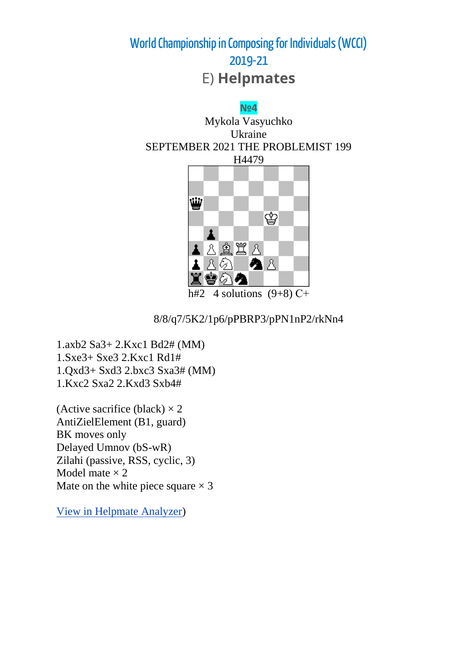



h#2 4 solutions  $(9+8)$  C+

8/8/q7/5K2/1p6/pPBRP3/pPN1nP2/rkNn4

1.axb2 Sa3+ 2.Kxc1 Bd2# (MM) 1.Sxe3+ Sxe3 2.Kxc1 Rd1# 1.Qxd3+ Sxd3 2.bxc3 Sxa3# (MM) 1.Kxc2 Sxa2 2.Kxd3 Sxb4#

(Active sacrifice (black)  $\times$  2 AntiZielElement (B1, guard) BK moves only Delayed Umnov (bS-wR) Zilahi (passive, RSS, cyclic, 3) Model mate  $\times$  2 Mate on the white piece square  $\times$  3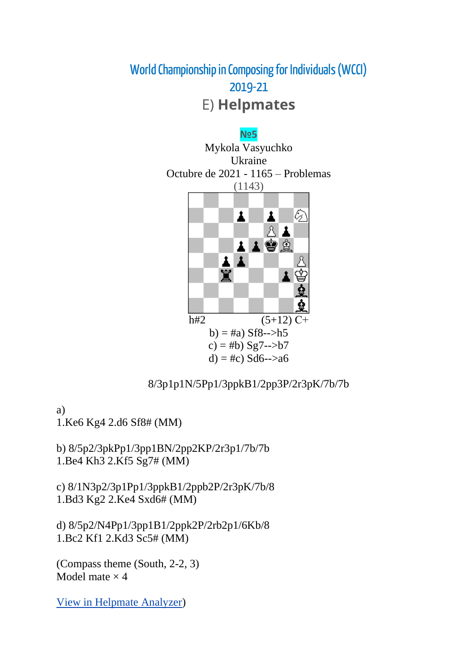

#### 8/3p1p1N/5Pp1/3ppkB1/2pp3P/2r3pK/7b/7b

a) 1.Ke6 Kg4 2.d6 Sf8# (MM)

b) 8/5p2/3pkPp1/3pp1BN/2pp2KP/2r3p1/7b/7b 1.Be4 Kh3 2.Kf5 Sg7# (MM)

c) 8/1N3p2/3p1Pp1/3ppkB1/2ppb2P/2r3pK/7b/8 1.Bd3 Kg2 2.Ke4 Sxd6# (MM)

d) 8/5p2/N4Pp1/3pp1B1/2ppk2P/2rb2p1/6Kb/8 1.Bc2 Kf1 2.Kd3 Sc5# (MM)

(Compass theme (South, 2-2, 3) Model mate  $\times$  4